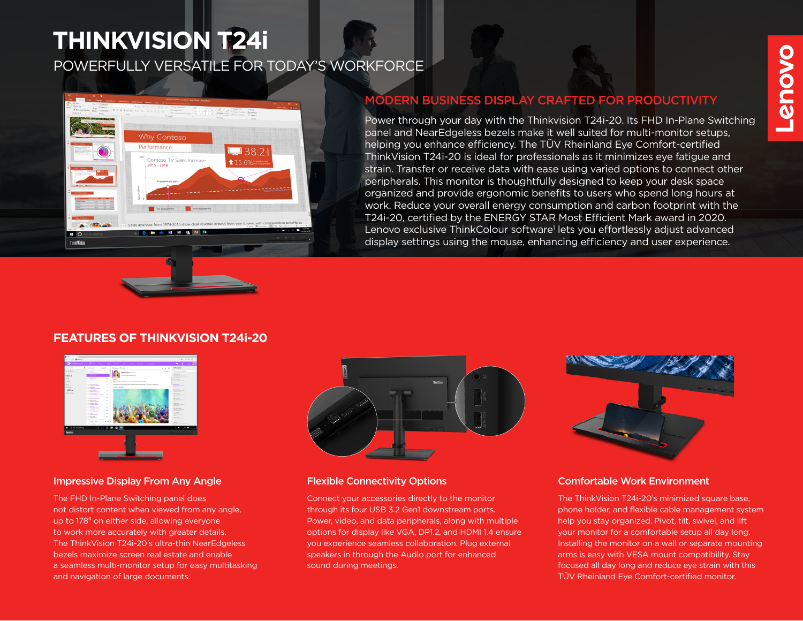# **THINKVISION T24i**

POWERFULLY VERSATILE FOR TODAY'S WORKFORCE



# MODERN BUSINESS DISPLAY CRAFTED FOR PRODUCTIVITY

Power through your day with the Thinkvision T24i-20. Its FHD In-Plane Switching panel and NearEdgeless bezels make it well suited for multi-monitor setups, helping you enhance efficiency. The TÜV Rheinland Eye Comfort-certified ThinkVision T24i-20 is ideal for professionals as it minimizes eye fatigue and strain. Transfer or receive data with ease using varied options to connect other peripherals. This monitor is thoughtfully designed to keep your desk space organized and provide ergonomic benefits to users who spend long hours at work. Reduce your overall energy consumption and carbon footprint with the T24i-20, certified by the ENERGY STAR Most Efficient Mark award in 2020. Lenovo exclusive ThinkColour software<sup>1</sup> lets you effortlessly adjust advanced display settings using the mouse, enhancing efficiency and user experience.

# **FEATURES OF THINKVISION T24i-20**



### Impressive Display From Any Angle Flexible Connectivity Options

The FHD In-Plane Switching panel does not distort content when viewed from any angle, up to 178<sup>°</sup> on either side, allowing everyone to work more accurately with greater details. The ThinkVision T24i-20's ultra-thin NearEdgeless bezels maximize screen real estate and enable a seamless multi-monitor setup for easy multitasking and navigation of large documents.



Connect your accessories directly to the monitor through its four USB 3.2 Gen1 downstream ports. Power, video, and data peripherals, along with multiple options for display like VGA, DP1.2, and HDMI 1.4 ensure you experience seamless collaboration. Plug external speakers in through the Audio port for enhanced sound during meetings.



### Comfortable Work Environment

The ThinkVision T24i-20's minimized square base, phone holder, and flexible cable management system help you stay organized. Pivot, tilt, swivel, and lift your monitor for a comfortable setup all day long. Installing the monitor on a wall or separate mounting arms is easy with VESA mount compatibility. Stay focused all day long and reduce eye strain with this TÜV Rheinland Eye Comfort-certified monitor.